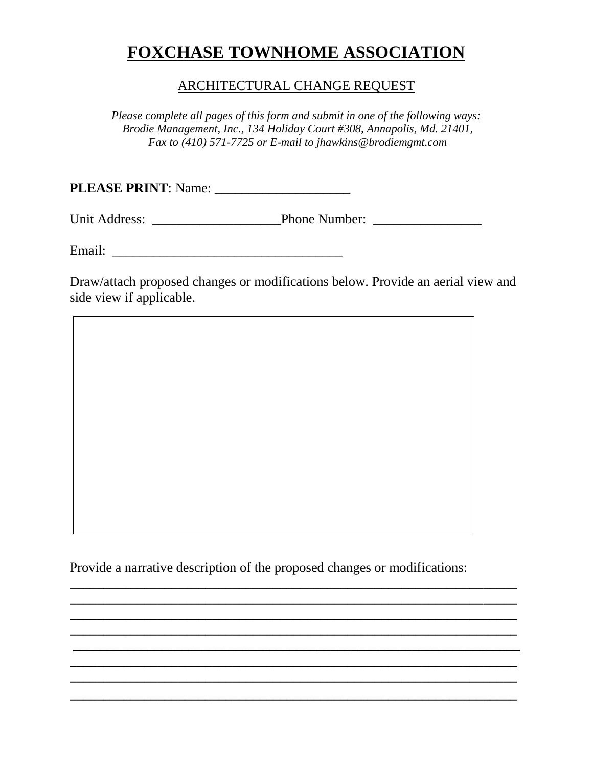# **FOXCHASE TOWNHOME ASSOCIATION**

### ARCHITECTURAL CHANGE REQUEST

*Please complete all pages of this form and submit in one of the following ways: Brodie Management, Inc., 134 Holiday Court #308, Annapolis, Md. 21401, Fax to (410) 571-7725 or E-mail to jhawkins@brodiemgmt.com*

**PLEASE PRINT**: Name: \_\_\_\_\_\_\_\_\_\_\_\_\_\_\_\_\_\_\_\_

Unit Address: \_\_\_\_\_\_\_\_\_\_\_\_\_\_\_\_\_\_\_Phone Number: \_\_\_\_\_\_\_\_\_\_\_\_\_\_\_\_

Email: \_\_\_\_\_\_\_\_\_\_\_\_\_\_\_\_\_\_\_\_\_\_\_\_\_\_\_\_\_\_\_\_\_\_

Draw/attach proposed changes or modifications below. Provide an aerial view and side view if applicable.

Provide a narrative description of the proposed changes or modifications:

 $\overline{\phantom{a}}$  , and the contract of the contract of the contract of the contract of the contract of the contract of the contract of the contract of the contract of the contract of the contract of the contract of the contrac **\_\_\_\_\_\_\_\_\_\_\_\_\_\_\_\_\_\_\_\_\_\_\_\_\_\_\_\_\_\_\_\_\_\_\_\_\_\_\_\_\_\_\_\_\_\_\_\_\_\_\_\_\_\_\_\_\_\_\_\_\_\_\_\_\_\_ \_\_\_\_\_\_\_\_\_\_\_\_\_\_\_\_\_\_\_\_\_\_\_\_\_\_\_\_\_\_\_\_\_\_\_\_\_\_\_\_\_\_\_\_\_\_\_\_\_\_\_\_\_\_\_\_\_\_\_\_\_\_\_\_\_\_ \_\_\_\_\_\_\_\_\_\_\_\_\_\_\_\_\_\_\_\_\_\_\_\_\_\_\_\_\_\_\_\_\_\_\_\_\_\_\_\_\_\_\_\_\_\_\_\_\_\_\_\_\_\_\_\_\_\_\_\_\_\_\_\_\_\_ \_\_\_\_\_\_\_\_\_\_\_\_\_\_\_\_\_\_\_\_\_\_\_\_\_\_\_\_\_\_\_\_\_\_\_\_\_\_\_\_\_\_\_\_\_\_\_\_\_\_\_\_\_\_\_\_\_\_\_\_\_\_\_\_\_\_ \_\_\_\_\_\_\_\_\_\_\_\_\_\_\_\_\_\_\_\_\_\_\_\_\_\_\_\_\_\_\_\_\_\_\_\_\_\_\_\_\_\_\_\_\_\_\_\_\_\_\_\_\_\_\_\_\_\_\_\_\_\_\_\_\_\_ \_\_\_\_\_\_\_\_\_\_\_\_\_\_\_\_\_\_\_\_\_\_\_\_\_\_\_\_\_\_\_\_\_\_\_\_\_\_\_\_\_\_\_\_\_\_\_\_\_\_\_\_\_\_\_\_\_\_\_\_\_\_\_\_\_\_ \_\_\_\_\_\_\_\_\_\_\_\_\_\_\_\_\_\_\_\_\_\_\_\_\_\_\_\_\_\_\_\_\_\_\_\_\_\_\_\_\_\_\_\_\_\_\_\_\_\_\_\_\_\_\_\_\_\_\_\_\_\_\_\_\_\_**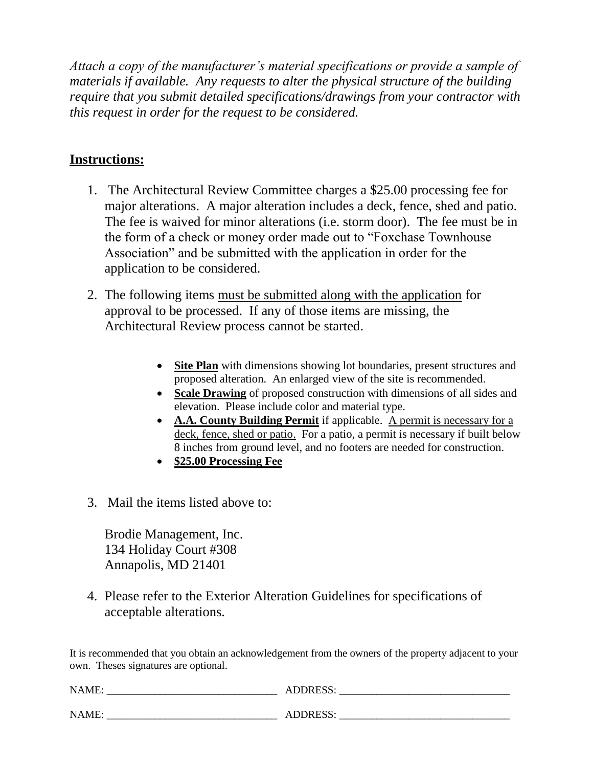*Attach a copy of the manufacturer's material specifications or provide a sample of materials if available. Any requests to alter the physical structure of the building require that you submit detailed specifications/drawings from your contractor with this request in order for the request to be considered.*

## **Instructions:**

- 1. The Architectural Review Committee charges a \$25.00 processing fee for major alterations. A major alteration includes a deck, fence, shed and patio. The fee is waived for minor alterations (i.e. storm door). The fee must be in the form of a check or money order made out to "Foxchase Townhouse Association" and be submitted with the application in order for the application to be considered.
- 2. The following items must be submitted along with the application for approval to be processed. If any of those items are missing, the Architectural Review process cannot be started.
	- **Site Plan** with dimensions showing lot boundaries, present structures and proposed alteration. An enlarged view of the site is recommended.
	- **Scale Drawing** of proposed construction with dimensions of all sides and elevation. Please include color and material type.
	- **A.A. County Building Permit** if applicable. A permit is necessary for a deck, fence, shed or patio. For a patio, a permit is necessary if built below 8 inches from ground level, and no footers are needed for construction.
	- **\$25.00 Processing Fee**
- 3. Mail the items listed above to:

Brodie Management, Inc. 134 Holiday Court #308 Annapolis, MD 21401

4. Please refer to the Exterior Alteration Guidelines for specifications of acceptable alterations.

It is recommended that you obtain an acknowledgement from the owners of the property adjacent to your own. Theses signatures are optional.

| NAME: | <b>ADDRESS:</b> |
|-------|-----------------|
| NAME: | <b>ADDRESS:</b> |